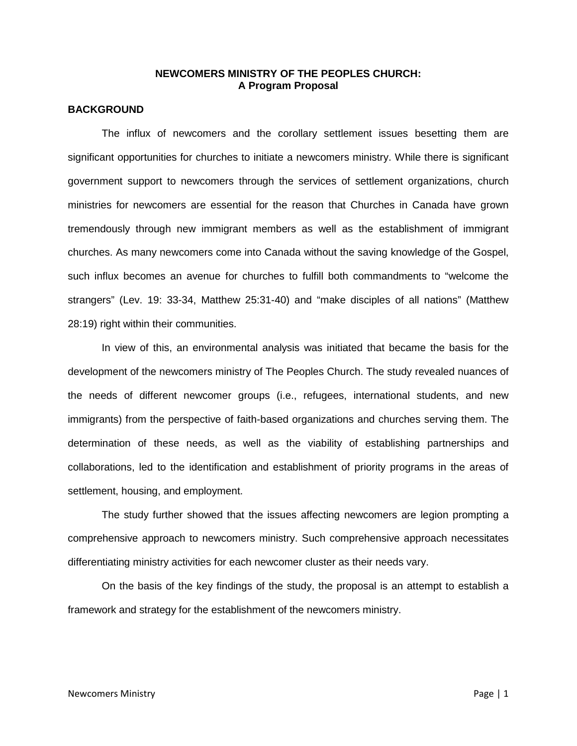### **NEWCOMERS MINISTRY OF THE PEOPLES CHURCH: A Program Proposal**

### **BACKGROUND**

The influx of newcomers and the corollary settlement issues besetting them are significant opportunities for churches to initiate a newcomers ministry. While there is significant government support to newcomers through the services of settlement organizations, church ministries for newcomers are essential for the reason that Churches in Canada have grown tremendously through new immigrant members as well as the establishment of immigrant churches. As many newcomers come into Canada without the saving knowledge of the Gospel, such influx becomes an avenue for churches to fulfill both commandments to "welcome the strangers" (Lev. 19: 33-34, Matthew 25:31-40) and "make disciples of all nations" (Matthew 28:19) right within their communities.

In view of this, an environmental analysis was initiated that became the basis for the development of the newcomers ministry of The Peoples Church. The study revealed nuances of the needs of different newcomer groups (i.e., refugees, international students, and new immigrants) from the perspective of faith-based organizations and churches serving them. The determination of these needs, as well as the viability of establishing partnerships and collaborations, led to the identification and establishment of priority programs in the areas of settlement, housing, and employment.

The study further showed that the issues affecting newcomers are legion prompting a comprehensive approach to newcomers ministry. Such comprehensive approach necessitates differentiating ministry activities for each newcomer cluster as their needs vary.

On the basis of the key findings of the study, the proposal is an attempt to establish a framework and strategy for the establishment of the newcomers ministry.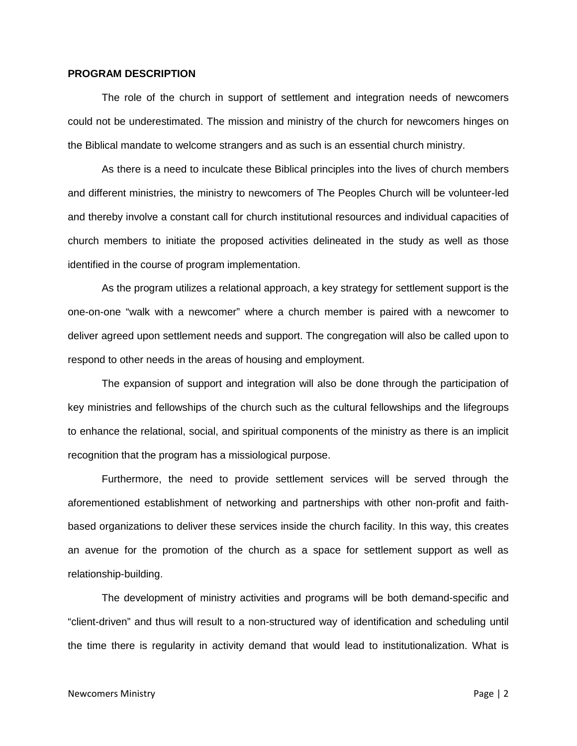#### **PROGRAM DESCRIPTION**

The role of the church in support of settlement and integration needs of newcomers could not be underestimated. The mission and ministry of the church for newcomers hinges on the Biblical mandate to welcome strangers and as such is an essential church ministry.

As there is a need to inculcate these Biblical principles into the lives of church members and different ministries, the ministry to newcomers of The Peoples Church will be volunteer-led and thereby involve a constant call for church institutional resources and individual capacities of church members to initiate the proposed activities delineated in the study as well as those identified in the course of program implementation.

As the program utilizes a relational approach, a key strategy for settlement support is the one-on-one "walk with a newcomer" where a church member is paired with a newcomer to deliver agreed upon settlement needs and support. The congregation will also be called upon to respond to other needs in the areas of housing and employment.

The expansion of support and integration will also be done through the participation of key ministries and fellowships of the church such as the cultural fellowships and the lifegroups to enhance the relational, social, and spiritual components of the ministry as there is an implicit recognition that the program has a missiological purpose.

Furthermore, the need to provide settlement services will be served through the aforementioned establishment of networking and partnerships with other non-profit and faith based organizations to deliver these services inside the church facility. In this way, this creates an avenue for the promotion of the church as a space for settlement support as well as relationship-building.

The development of ministry activities and programs will be both demand-specific and "client-driven" and thus will result to a non-structured way of identification and scheduling until the time there is regularity in activity demand that would lead to institutionalization. What is

#### Newcomers Ministry **Page | 2**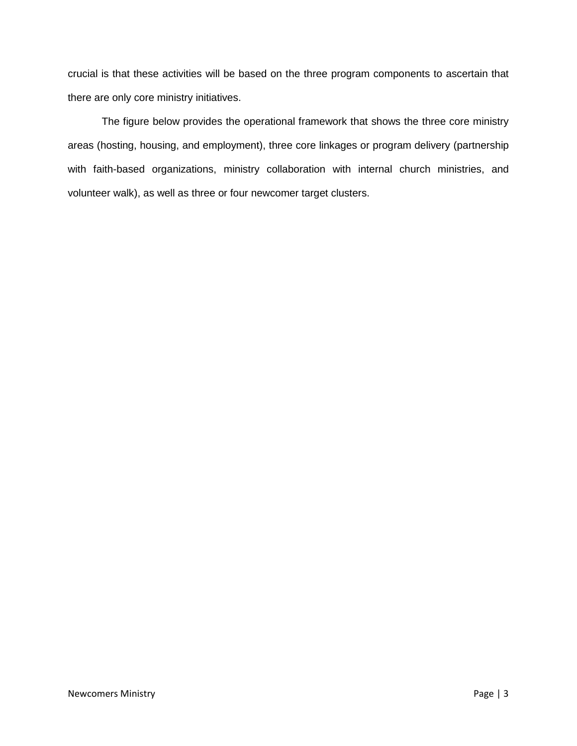crucial is that these activities will be based on the three program components to ascertain that there are only core ministry initiatives.

The figure below provides the operational framework that shows the three core ministry areas (hosting, housing, and employment), three core linkages or program delivery (partnership with faith-based organizations, ministry collaboration with internal church ministries, and volunteer walk), as well as three or four newcomer target clusters.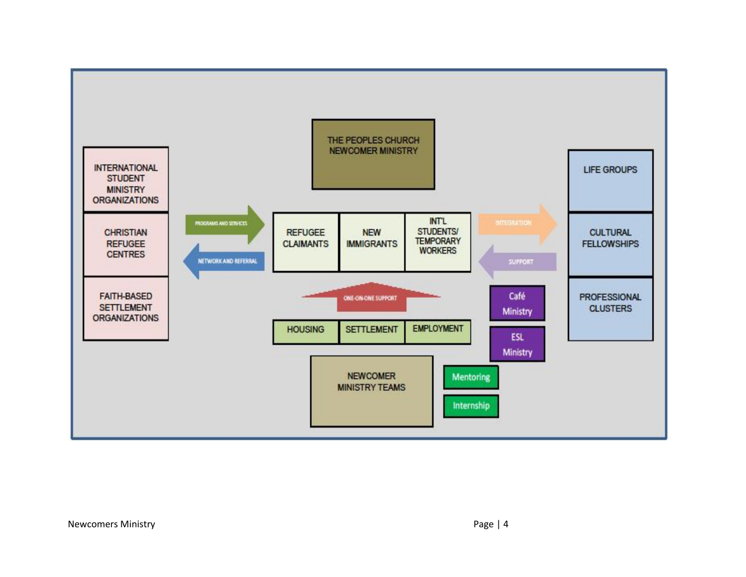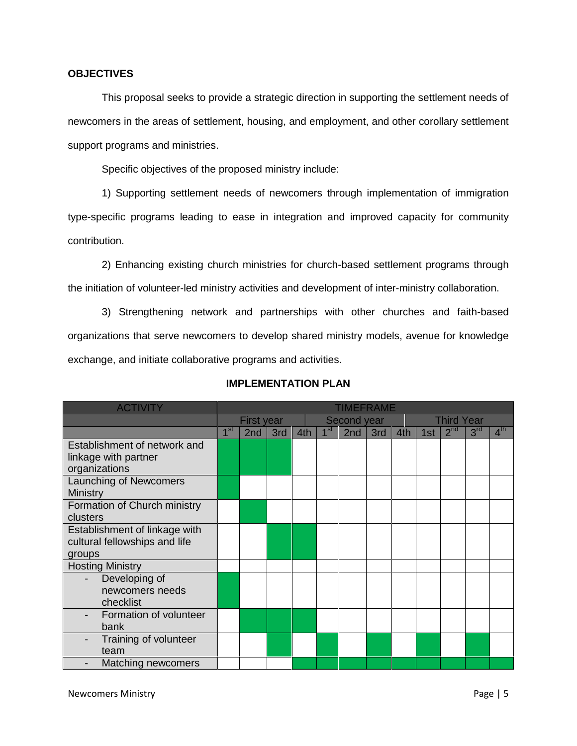## **OBJECTIVES**

This proposal seeks to provide a strategic direction in supporting the settlement needs of newcomers in the areas of settlement, housing, and employment, and other corollary settlement support programs and ministries.

Specific objectives of the proposed ministry include:

1) Supporting settlement needs of newcomers through implementation of immigration type-specific programs leading to ease in integration and improved capacity for community contribution.

2) Enhancing existing church ministries for church-based settlement programs through the initiation of volunteer-led ministry activities and development of inter-ministry collaboration.

3) Strengthening network and partnerships with other churches and faith-based organizations that serve newcomers to develop shared ministry models, avenue for knowledge exchange, and initiate collaborative programs and activities.

| <b>ACTIVITY</b>               | <b>TIMEFRAME</b>  |            |     |     |                 |                 |     |     |                   |                 |                 |                 |
|-------------------------------|-------------------|------------|-----|-----|-----------------|-----------------|-----|-----|-------------------|-----------------|-----------------|-----------------|
|                               |                   | First year |     |     | Second year     |                 |     |     | <b>Third Year</b> |                 |                 |                 |
|                               | $\overline{1}$ st | 2nd        | 3rd | 4th | 1 <sup>st</sup> | 2 <sub>nd</sub> | 3rd | 4th | 1st               | 2 <sup>nd</sup> | 3 <sup>rd</sup> | 4 <sup>th</sup> |
| Establishment of network and  |                   |            |     |     |                 |                 |     |     |                   |                 |                 |                 |
| linkage with partner          |                   |            |     |     |                 |                 |     |     |                   |                 |                 |                 |
| organizations                 |                   |            |     |     |                 |                 |     |     |                   |                 |                 |                 |
| Launching of Newcomers        |                   |            |     |     |                 |                 |     |     |                   |                 |                 |                 |
| Ministry                      |                   |            |     |     |                 |                 |     |     |                   |                 |                 |                 |
| Formation of Church ministry  |                   |            |     |     |                 |                 |     |     |                   |                 |                 |                 |
| clusters                      |                   |            |     |     |                 |                 |     |     |                   |                 |                 |                 |
| Establishment of linkage with |                   |            |     |     |                 |                 |     |     |                   |                 |                 |                 |
| cultural fellowships and life |                   |            |     |     |                 |                 |     |     |                   |                 |                 |                 |
| groups                        |                   |            |     |     |                 |                 |     |     |                   |                 |                 |                 |
| <b>Hosting Ministry</b>       |                   |            |     |     |                 |                 |     |     |                   |                 |                 |                 |
| Developing of                 |                   |            |     |     |                 |                 |     |     |                   |                 |                 |                 |
| newcomers needs               |                   |            |     |     |                 |                 |     |     |                   |                 |                 |                 |
| checklist                     |                   |            |     |     |                 |                 |     |     |                   |                 |                 |                 |
| Formation of volunteer        |                   |            |     |     |                 |                 |     |     |                   |                 |                 |                 |
| bank                          |                   |            |     |     |                 |                 |     |     |                   |                 |                 |                 |
| Training of volunteer         |                   |            |     |     |                 |                 |     |     |                   |                 |                 |                 |
| team                          |                   |            |     |     |                 |                 |     |     |                   |                 |                 |                 |
| Matching newcomers            |                   |            |     |     |                 |                 |     |     |                   |                 |                 |                 |

# **IMPLEMENTATION PLAN**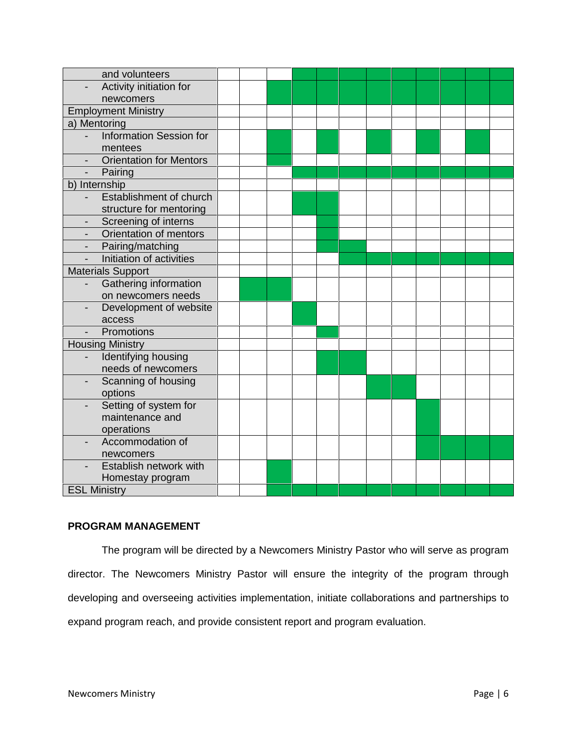| and volunteers                                       |  |  |  |  |  |  |
|------------------------------------------------------|--|--|--|--|--|--|
| Activity initiation for                              |  |  |  |  |  |  |
| newcomers                                            |  |  |  |  |  |  |
| <b>Employment Ministry</b>                           |  |  |  |  |  |  |
| a) Mentoring                                         |  |  |  |  |  |  |
| <b>Information Session for</b>                       |  |  |  |  |  |  |
| mentees                                              |  |  |  |  |  |  |
| <b>Orientation for Mentors</b>                       |  |  |  |  |  |  |
| Pairing<br>$\overline{\phantom{a}}$                  |  |  |  |  |  |  |
| b) Internship                                        |  |  |  |  |  |  |
| Establishment of church                              |  |  |  |  |  |  |
| structure for mentoring                              |  |  |  |  |  |  |
| Screening of interns                                 |  |  |  |  |  |  |
| Orientation of mentors                               |  |  |  |  |  |  |
| Pairing/matching                                     |  |  |  |  |  |  |
| Initiation of activities<br>$\overline{\phantom{a}}$ |  |  |  |  |  |  |
| <b>Materials Support</b>                             |  |  |  |  |  |  |
| Gathering information<br>$\overline{\phantom{a}}$    |  |  |  |  |  |  |
| on newcomers needs                                   |  |  |  |  |  |  |
| Development of website                               |  |  |  |  |  |  |
| access                                               |  |  |  |  |  |  |
| Promotions                                           |  |  |  |  |  |  |
| <b>Housing Ministry</b>                              |  |  |  |  |  |  |
| Identifying housing                                  |  |  |  |  |  |  |
| needs of newcomers                                   |  |  |  |  |  |  |
| Scanning of housing                                  |  |  |  |  |  |  |
| options                                              |  |  |  |  |  |  |
| Setting of system for                                |  |  |  |  |  |  |
| maintenance and                                      |  |  |  |  |  |  |
| operations                                           |  |  |  |  |  |  |
| Accommodation of                                     |  |  |  |  |  |  |
| newcomers                                            |  |  |  |  |  |  |
| Establish network with                               |  |  |  |  |  |  |
| Homestay program                                     |  |  |  |  |  |  |
| <b>ESL Ministry</b>                                  |  |  |  |  |  |  |

## **PROGRAM MANAGEMENT**

The program will be directed by a Newcomers Ministry Pastor who will serve as program director. The Newcomers Ministry Pastor will ensure the integrity of the program through developing and overseeing activities implementation, initiate collaborations and partnerships to expand program reach, and provide consistent report and program evaluation.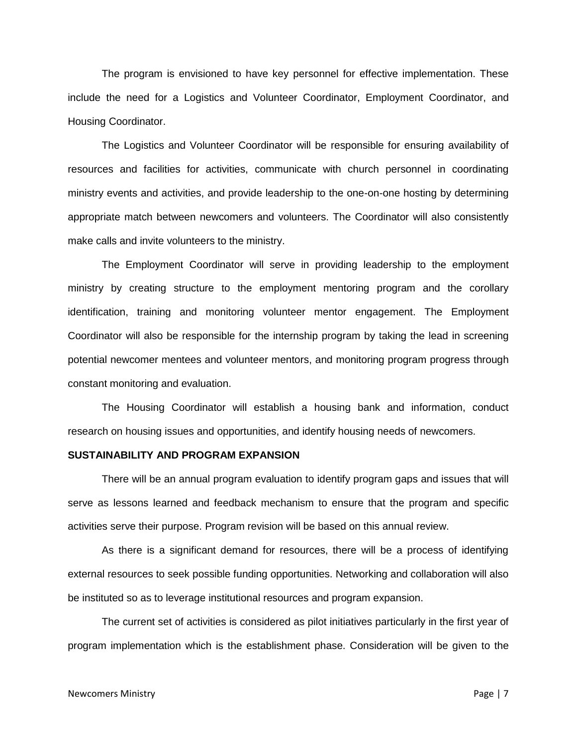The program is envisioned to have key personnel for effective implementation. These include the need for a Logistics and Volunteer Coordinator, Employment Coordinator, and Housing Coordinator.

The Logistics and Volunteer Coordinator will be responsible for ensuring availability of resources and facilities for activities, communicate with church personnel in coordinating ministry events and activities, and provide leadership to the one-on-one hosting by determining appropriate match between newcomers and volunteers. The Coordinator will also consistently make calls and invite volunteers to the ministry.

The Employment Coordinator will serve in providing leadership to the employment ministry by creating structure to the employment mentoring program and the corollary identification, training and monitoring volunteer mentor engagement. The Employment Coordinator will also be responsible for the internship program by taking the lead in screening potential newcomer mentees and volunteer mentors, and monitoring program progress through constant monitoring and evaluation.

The Housing Coordinator will establish a housing bank and information, conduct research on housing issues and opportunities, and identify housing needs of newcomers.

#### **SUSTAINABILITY AND PROGRAM EXPANSION**

There will be an annual program evaluation to identify program gaps and issues that will serve as lessons learned and feedback mechanism to ensure that the program and specific activities serve their purpose. Program revision will be based on this annual review.

As there is a significant demand for resources, there will be a process of identifying external resources to seek possible funding opportunities. Networking and collaboration will also be instituted so as to leverage institutional resources and program expansion.

The current set of activities is considered as pilot initiatives particularly in the first year of program implementation which is the establishment phase. Consideration will be given to the